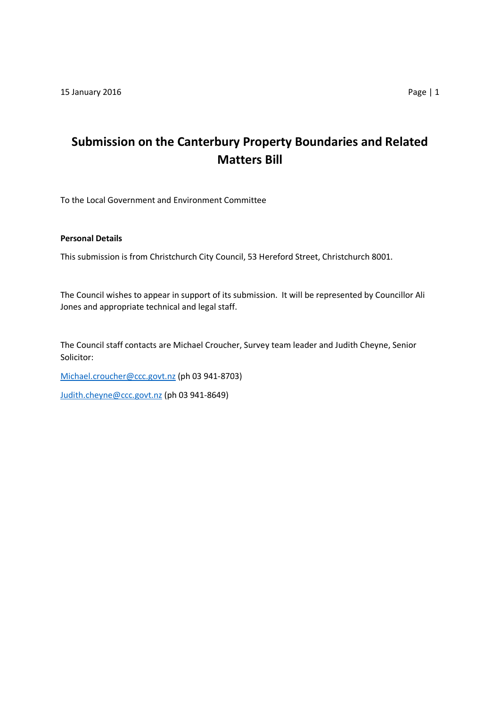# **Submission on the Canterbury Property Boundaries and Related Matters Bill**

To the Local Government and Environment Committee

# **Personal Details**

This submission is from Christchurch City Council, 53 Hereford Street, Christchurch 8001.

The Council wishes to appear in support of its submission. It will be represented by Councillor Ali Jones and appropriate technical and legal staff.

The Council staff contacts are Michael Croucher, Survey team leader and Judith Cheyne, Senior Solicitor:

[Michael.croucher@ccc.govt.nz](mailto:Michael.croucher@ccc.govt.nz) (ph 03 941-8703)

[Judith.cheyne@ccc.govt.nz](mailto:Judith.cheyne@ccc.govt.nz) (ph 03 941-8649)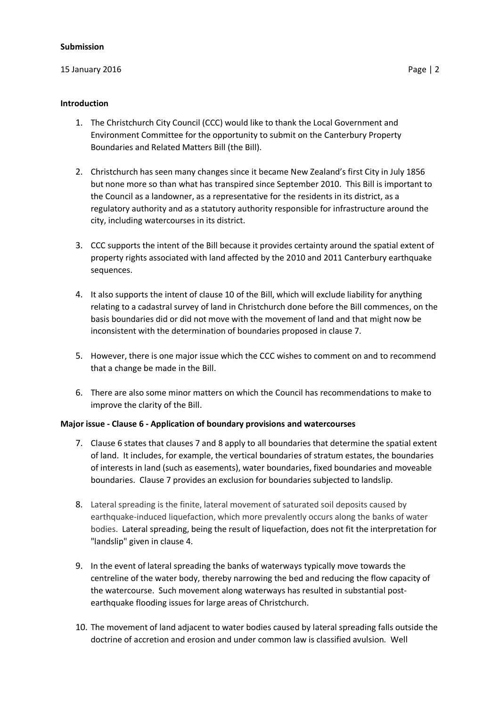#### **Submission**

# 15 January 2016 Page | 2

# **Introduction**

- 1. The Christchurch City Council (CCC) would like to thank the Local Government and Environment Committee for the opportunity to submit on the Canterbury Property Boundaries and Related Matters Bill (the Bill).
- 2. Christchurch has seen many changes since it became New Zealand's first City in July 1856 but none more so than what has transpired since September 2010. This Bill is important to the Council as a landowner, as a representative for the residents in its district, as a regulatory authority and as a statutory authority responsible for infrastructure around the city, including watercourses in its district.
- 3. CCC supports the intent of the Bill because it provides certainty around the spatial extent of property rights associated with land affected by the 2010 and 2011 Canterbury earthquake sequences.
- 4. It also supports the intent of clause 10 of the Bill, which will exclude liability for anything relating to a cadastral survey of land in Christchurch done before the Bill commences, on the basis boundaries did or did not move with the movement of land and that might now be inconsistent with the determination of boundaries proposed in clause 7.
- 5. However, there is one major issue which the CCC wishes to comment on and to recommend that a change be made in the Bill.
- 6. There are also some minor matters on which the Council has recommendations to make to improve the clarity of the Bill.

# **Major issue - Clause 6 - Application of boundary provisions and watercourses**

- 7. Clause 6 states that clauses 7 and 8 apply to all boundaries that determine the spatial extent of land. It includes, for example, the vertical boundaries of stratum estates, the boundaries of interests in land (such as easements), water boundaries, fixed boundaries and moveable boundaries. Clause 7 provides an exclusion for boundaries subjected to landslip.
- 8. Lateral spreading is the finite, lateral movement of saturated soil deposits caused by earthquake-induced liquefaction, which more prevalently occurs along the banks of water bodies. Lateral spreading, being the result of liquefaction, does not fit the interpretation for "landslip" given in clause 4.
- 9. In the event of lateral spreading the banks of waterways typically move towards the centreline of the water body, thereby narrowing the bed and reducing the flow capacity of the watercourse. Such movement along waterways has resulted in substantial postearthquake flooding issues for large areas of Christchurch.
- 10. The movement of land adjacent to water bodies caused by lateral spreading falls outside the doctrine of accretion and erosion and under common law is classified avulsion. Well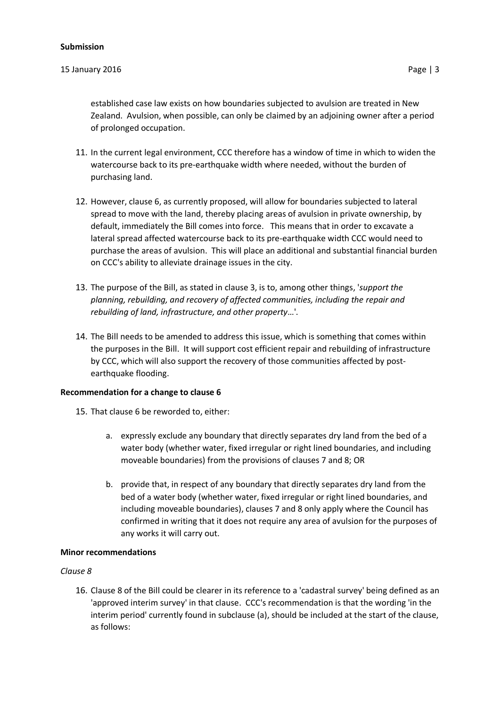#### **Submission**

#### 15 January 2016 Page | 3

- 11. In the current legal environment, CCC therefore has a window of time in which to widen the watercourse back to its pre-earthquake width where needed, without the burden of purchasing land.
- 12. However, clause 6, as currently proposed, will allow for boundaries subjected to lateral spread to move with the land, thereby placing areas of avulsion in private ownership, by default, immediately the Bill comes into force. This means that in order to excavate a lateral spread affected watercourse back to its pre-earthquake width CCC would need to purchase the areas of avulsion. This will place an additional and substantial financial burden on CCC's ability to alleviate drainage issues in the city.
- 13. The purpose of the Bill, as stated in clause 3, is to, among other things, '*support the planning, rebuilding, and recovery of affected communities, including the repair and rebuilding of land, infrastructure, and other property*…'.
- 14. The Bill needs to be amended to address this issue, which is something that comes within the purposes in the Bill. It will support cost efficient repair and rebuilding of infrastructure by CCC, which will also support the recovery of those communities affected by postearthquake flooding.

# **Recommendation for a change to clause 6**

- 15. That clause 6 be reworded to, either:
	- a. expressly exclude any boundary that directly separates dry land from the bed of a water body (whether water, fixed irregular or right lined boundaries, and including moveable boundaries) from the provisions of clauses 7 and 8; OR
	- b. provide that, in respect of any boundary that directly separates dry land from the bed of a water body (whether water, fixed irregular or right lined boundaries, and including moveable boundaries), clauses 7 and 8 only apply where the Council has confirmed in writing that it does not require any area of avulsion for the purposes of any works it will carry out.

#### **Minor recommendations**

#### *Clause 8*

16. Clause 8 of the Bill could be clearer in its reference to a 'cadastral survey' being defined as an 'approved interim survey' in that clause. CCC's recommendation is that the wording 'in the interim period' currently found in subclause (a), should be included at the start of the clause, as follows: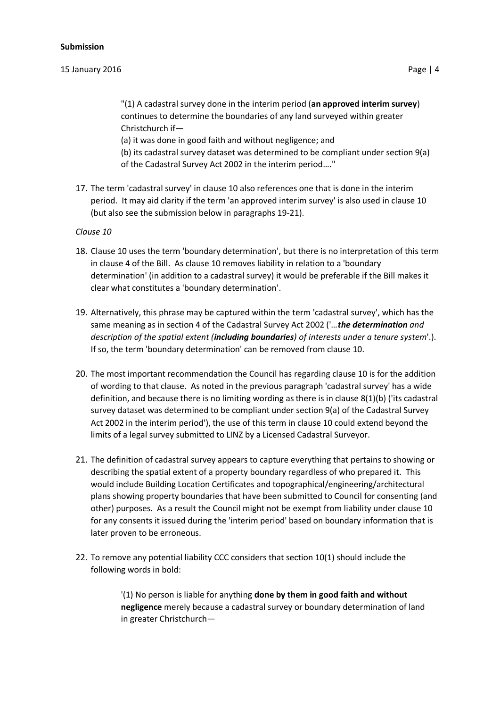# 15 January 2016 Page | 4

"(1) A cadastral survey done in the interim period (**an approved interim survey**) continues to determine the boundaries of any land surveyed within greater Christchurch if—

(a) it was done in good faith and without negligence; and

(b) its cadastral survey dataset was determined to be compliant under section 9(a) of the Cadastral Survey Act 2002 in the interim period…."

17. The term 'cadastral survey' in clause 10 also references one that is done in the interim period. It may aid clarity if the term 'an approved interim survey' is also used in clause 10 (but also see the submission below in paragraphs 19-21).

# *Clause 10*

- 18. Clause 10 uses the term 'boundary determination', but there is no interpretation of this term in clause 4 of the Bill. As clause 10 removes liability in relation to a 'boundary determination' (in addition to a cadastral survey) it would be preferable if the Bill makes it clear what constitutes a 'boundary determination'.
- 19. Alternatively, this phrase may be captured within the term 'cadastral survey', which has the same meaning as in section 4 of the Cadastral Survey Act 2002 ('*…the determination and description of the spatial extent (including boundaries) of interests under a tenure system*'.). If so, the term 'boundary determination' can be removed from clause 10.
- 20. The most important recommendation the Council has regarding clause 10 is for the addition of wording to that clause. As noted in the previous paragraph 'cadastral survey' has a wide definition, and because there is no limiting wording as there is in clause 8(1)(b) ('its cadastral survey dataset was determined to be compliant under section 9(a) of the Cadastral Survey Act 2002 in the interim period'), the use of this term in clause 10 could extend beyond the limits of a legal survey submitted to LINZ by a Licensed Cadastral Surveyor.
- 21. The definition of cadastral survey appears to capture everything that pertains to showing or describing the spatial extent of a property boundary regardless of who prepared it. This would include Building Location Certificates and topographical/engineering/architectural plans showing property boundaries that have been submitted to Council for consenting (and other) purposes. As a result the Council might not be exempt from liability under clause 10 for any consents it issued during the 'interim period' based on boundary information that is later proven to be erroneous.
- 22. To remove any potential liability CCC considers that section 10(1) should include the following words in bold:

'(1) No person is liable for anything **done by them in good faith and without negligence** merely because a cadastral survey or boundary determination of land in greater Christchurch—